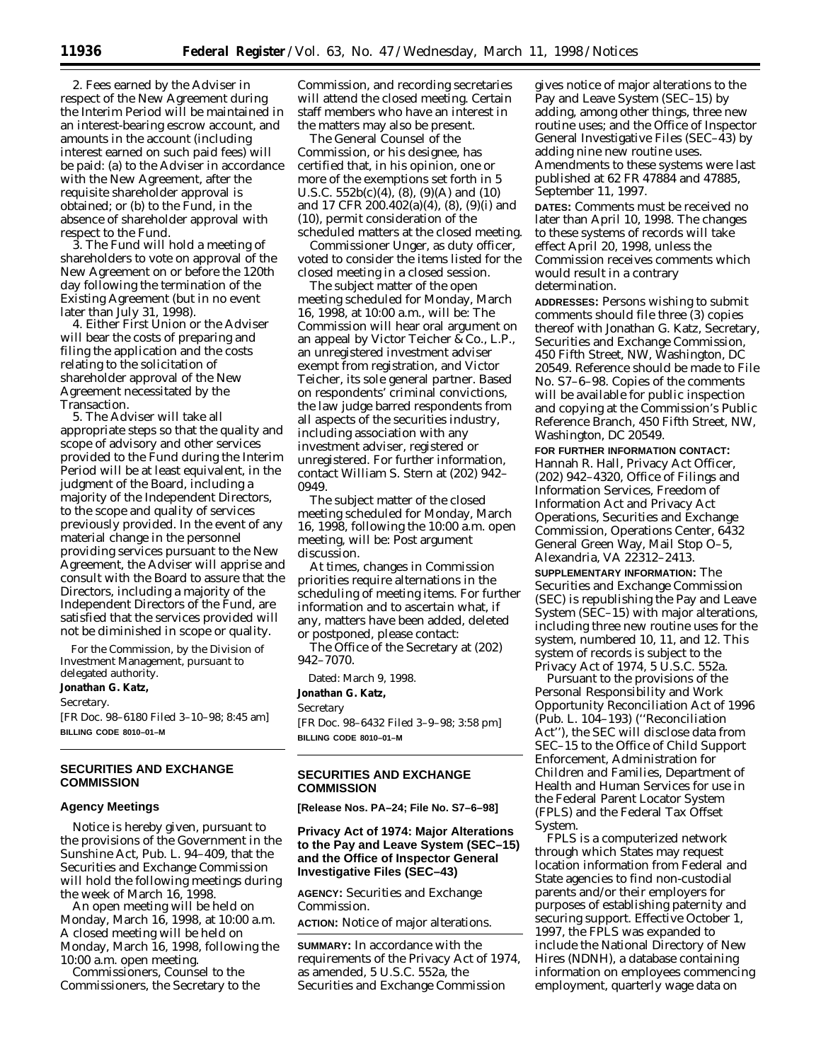2. Fees earned by the Adviser in respect of the New Agreement during the Interim Period will be maintained in an interest-bearing escrow account, and amounts in the account (including interest earned on such paid fees) will be paid: (a) to the Adviser in accordance with the New Agreement, after the requisite shareholder approval is obtained; or (b) to the Fund, in the absence of shareholder approval with respect to the Fund.

3. The Fund will hold a meeting of shareholders to vote on approval of the New Agreement on or before the 120th day following the termination of the Existing Agreement (but in no event later than July 31, 1998).

4. Either First Union or the Adviser will bear the costs of preparing and filing the application and the costs relating to the solicitation of shareholder approval of the New Agreement necessitated by the Transaction.

5. The Adviser will take all appropriate steps so that the quality and scope of advisory and other services provided to the Fund during the Interim Period will be at least equivalent, in the judgment of the Board, including a majority of the Independent Directors, to the scope and quality of services previously provided. In the event of any material change in the personnel providing services pursuant to the New Agreement, the Adviser will apprise and consult with the Board to assure that the Directors, including a majority of the Independent Directors of the Fund, are satisfied that the services provided will not be diminished in scope or quality.

For the Commission, by the Division of Investment Management, pursuant to delegated authority.

**Jonathan G. Katz,**

*Secretary.*

[FR Doc. 98–6180 Filed 3–10–98; 8:45 am] **BILLING CODE 8010–01–M**

# **SECURITIES AND EXCHANGE COMMISSION**

## **Agency Meetings**

Notice is hereby given, pursuant to the provisions of the Government in the Sunshine Act, Pub. L. 94–409, that the Securities and Exchange Commission will hold the following meetings during the week of March 16, 1998.

An open meeting will be held on Monday, March 16, 1998, at 10:00 a.m. A closed meeting will be held on Monday, March 16, 1998, following the 10:00 a.m. open meeting.

Commissioners, Counsel to the Commissioners, the Secretary to the

Commission, and recording secretaries will attend the closed meeting. Certain staff members who have an interest in the matters may also be present.

The General Counsel of the Commission, or his designee, has certified that, in his opinion, one or more of the exemptions set forth in 5 U.S.C. 552b(c)(4), (8), (9)(A) and (10) and 17 CFR 200.402(a)(4), (8), (9)(i) and (10), permit consideration of the scheduled matters at the closed meeting.

Commissioner Unger, as duty officer, voted to consider the items listed for the closed meeting in a closed session.

The subject matter of the open meeting scheduled for Monday, March 16, 1998, at 10:00 a.m., will be: The Commission will hear oral argument on an appeal by Victor Teicher & Co., L.P., an unregistered investment adviser exempt from registration, and Victor Teicher, its sole general partner. Based on respondents' criminal convictions, the law judge barred respondents from all aspects of the securities industry, including association with any investment adviser, registered or unregistered. For further information, contact William S. Stern at (202) 942– 0949.

The subject matter of the closed meeting scheduled for Monday, March 16, 1998, following the 10:00 a.m. open meeting, will be: Post argument discussion.

At times, changes in Commission priorities require alternations in the scheduling of meeting items. For further information and to ascertain what, if any, matters have been added, deleted or postponed, please contact:

The Office of the Secretary at (202) 942–7070.

Dated: March 9, 1998.

**Jonathan G. Katz,** *Secretary*

[FR Doc. 98–6432 Filed 3–9–98; 3:58 pm] **BILLING CODE 8010–01–M**

# **SECURITIES AND EXCHANGE COMMISSION**

**[Release Nos. PA–24; File No. S7–6–98]**

# **Privacy Act of 1974: Major Alterations to the Pay and Leave System (SEC–15) and the Office of Inspector General Investigative Files (SEC–43)**

**AGENCY:** Securities and Exchange Commission.

**ACTION:** Notice of major alterations.

**SUMMARY:** In accordance with the requirements of the Privacy Act of 1974, as amended, 5 U.S.C. 552a, the Securities and Exchange Commission

gives notice of major alterations to the Pay and Leave System (SEC–15) by adding, among other things, three new routine uses; and the Office of Inspector General Investigative Files (SEC $-\overline{4}3$ ) by adding nine new routine uses. Amendments to these systems were last published at 62 FR 47884 and 47885, September 11, 1997.

**DATES:** Comments must be received no later than April 10, 1998. The changes to these systems of records will take effect April 20, 1998, unless the Commission receives comments which would result in a contrary determination.

**ADDRESSES:** Persons wishing to submit comments should file three (3) copies thereof with Jonathan G. Katz, Secretary, Securities and Exchange Commission, 450 Fifth Street, NW, Washington, DC 20549. Reference should be made to File No. S7–6–98. Copies of the comments will be available for public inspection and copying at the Commission's Public Reference Branch, 450 Fifth Street, NW, Washington, DC 20549.

**FOR FURTHER INFORMATION CONTACT:** Hannah R. Hall, Privacy Act Officer, (202) 942–4320, Office of Filings and Information Services, Freedom of Information Act and Privacy Act Operations, Securities and Exchange Commission, Operations Center, 6432 General Green Way, Mail Stop O–5, Alexandria, VA 22312–2413.

**SUPPLEMENTARY INFORMATION:** The Securities and Exchange Commission (SEC) is republishing the Pay and Leave System (SEC–15) with major alterations, including three new routine uses for the system, numbered 10, 11, and 12. This system of records is subject to the Privacy Act of 1974, 5 U.S.C. 552a.

Pursuant to the provisions of the Personal Responsibility and Work Opportunity Reconciliation Act of 1996 (Pub. L. 104–193) (''Reconciliation Act''), the SEC will disclose data from SEC–15 to the Office of Child Support Enforcement, Administration for Children and Families, Department of Health and Human Services for use in the Federal Parent Locator System (FPLS) and the Federal Tax Offset System.

FPLS is a computerized network through which States may request location information from Federal and State agencies to find non-custodial parents and/or their employers for purposes of establishing paternity and securing support. Effective October 1, 1997, the FPLS was expanded to include the National Directory of New Hires (NDNH), a database containing information on employees commencing employment, quarterly wage data on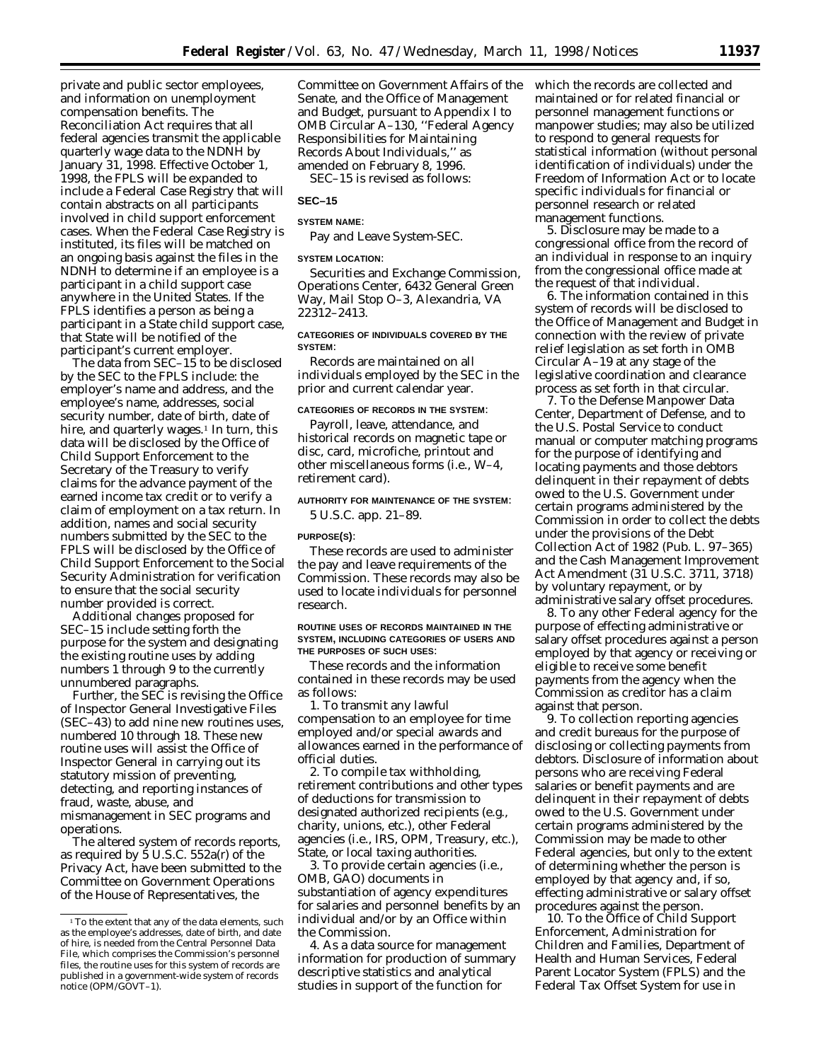private and public sector employees, and information on unemployment compensation benefits. The Reconciliation Act requires that all federal agencies transmit the applicable quarterly wage data to the NDNH by January 31, 1998. Effective October 1, 1998, the FPLS will be expanded to include a Federal Case Registry that will contain abstracts on all participants involved in child support enforcement cases. When the Federal Case Registry is instituted, its files will be matched on an ongoing basis against the files in the NDNH to determine if an employee is a participant in a child support case anywhere in the United States. If the FPLS identifies a person as being a participant in a State child support case, that State will be notified of the participant's current employer.

The data from SEC–15 to be disclosed by the SEC to the FPLS include: the employer's name and address, and the employee's name, addresses, social security number, date of birth, date of hire, and quarterly wages.<sup>1</sup> In turn, this data will be disclosed by the Office of Child Support Enforcement to the Secretary of the Treasury to verify claims for the advance payment of the earned income tax credit or to verify a claim of employment on a tax return. In addition, names and social security numbers submitted by the SEC to the FPLS will be disclosed by the Office of Child Support Enforcement to the Social Security Administration for verification to ensure that the social security number provided is correct.

Additional changes proposed for SEC–15 include setting forth the purpose for the system and designating the existing routine uses by adding numbers 1 through 9 to the currently unnumbered paragraphs.

Further, the SEC is revising the Office of Inspector General Investigative Files (SEC–43) to add nine new routines uses, numbered 10 through 18. These new routine uses will assist the Office of Inspector General in carrying out its statutory mission of preventing, detecting, and reporting instances of fraud, waste, abuse, and mismanagement in SEC programs and operations.

The altered system of records reports, as required by 5 U.S.C. 552a(r) of the Privacy Act, have been submitted to the Committee on Government Operations of the House of Representatives, the

Committee on Government Affairs of the Senate, and the Office of Management and Budget, pursuant to Appendix I to OMB Circular A–130, ''Federal Agency Responsibilities for Maintaining Records About Individuals,'' as amended on February 8, 1996.

SEC–15 is revised as follows:

# **SEC–15**

# **SYSTEM NAME**:

Pay and Leave System-SEC.

# **SYSTEM LOCATION**:

Securities and Exchange Commission, Operations Center, 6432 General Green Way, Mail Stop O–3, Alexandria, VA 22312–2413.

#### **CATEGORIES OF INDIVIDUALS COVERED BY THE SYSTEM**:

Records are maintained on all individuals employed by the SEC in the prior and current calendar year.

# **CATEGORIES OF RECORDS IN THE SYSTEM**:

Payroll, leave, attendance, and historical records on magnetic tape or disc, card, microfiche, printout and other miscellaneous forms (*i.e.*, W–4, retirement card).

## **AUTHORITY FOR MAINTENANCE OF THE SYSTEM**:

5 U.S.C. app. 21–89.

#### **PURPOSE(S)**:

These records are used to administer the pay and leave requirements of the Commission. These records may also be used to locate individuals for personnel research.

#### **ROUTINE USES OF RECORDS MAINTAINED IN THE SYSTEM, INCLUDING CATEGORIES OF USERS AND THE PURPOSES OF SUCH USES**:

These records and the information contained in these records may be used as follows:

1. To transmit any lawful compensation to an employee for time employed and/or special awards and allowances earned in the performance of official duties.

2. To compile tax withholding, retirement contributions and other types of deductions for transmission to designated authorized recipients (*e.g.*, charity, unions, etc.), other Federal agencies (*i.e.*, IRS, OPM, Treasury, etc.), State, or local taxing authorities.

3. To provide certain agencies (*i.e.*, OMB, GAO) documents in substantiation of agency expenditures for salaries and personnel benefits by an individual and/or by an Office within the Commission.

4. As a data source for management information for production of summary descriptive statistics and analytical studies in support of the function for

which the records are collected and maintained or for related financial or personnel management functions or manpower studies; may also be utilized to respond to general requests for statistical information (without personal identification of individuals) under the Freedom of Information Act or to locate specific individuals for financial or personnel research or related management functions.

5. Disclosure may be made to a congressional office from the record of an individual in response to an inquiry from the congressional office made at the request of that individual.

6. The information contained in this system of records will be disclosed to the Office of Management and Budget in connection with the review of private relief legislation as set forth in OMB Circular A–19 at any stage of the legislative coordination and clearance process as set forth in that circular.

7. To the Defense Manpower Data Center, Department of Defense, and to the U.S. Postal Service to conduct manual or computer matching programs for the purpose of identifying and locating payments and those debtors delinquent in their repayment of debts owed to the U.S. Government under certain programs administered by the Commission in order to collect the debts under the provisions of the Debt Collection Act of 1982 (Pub. L. 97–365) and the Cash Management Improvement Act Amendment (31 U.S.C. 3711, 3718) by voluntary repayment, or by administrative salary offset procedures.

8. To any other Federal agency for the purpose of effecting administrative or salary offset procedures against a person employed by that agency or receiving or eligible to receive some benefit payments from the agency when the Commission as creditor has a claim against that person.

9. To collection reporting agencies and credit bureaus for the purpose of disclosing or collecting payments from debtors. Disclosure of information about persons who are receiving Federal salaries or benefit payments and are delinquent in their repayment of debts owed to the U.S. Government under certain programs administered by the Commission may be made to other Federal agencies, but only to the extent of determining whether the person is employed by that agency and, if so, effecting administrative or salary offset procedures against the person.

10. To the Office of Child Support Enforcement, Administration for Children and Families, Department of Health and Human Services, Federal Parent Locator System (FPLS) and the Federal Tax Offset System for use in

<sup>&</sup>lt;sup>1</sup>To the extent that any of the data elements, such as the employee's addresses, date of birth, and date of hire, is needed from the Central Personnel Data File, which comprises the Commission's personnel files, the routine uses for this system of records are published in a government-wide system of records notice (OPM/GOVT–1).